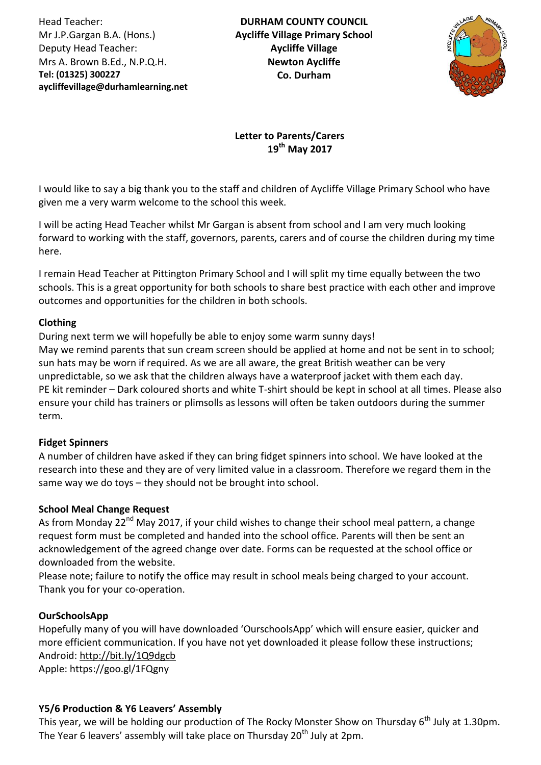Head Teacher: Mr J.P.Gargan B.A. (Hons.) Deputy Head Teacher: Mrs A. Brown B.Ed., N.P.Q.H. **Tel: (01325) 300227 aycliffevillage@durhamlearning.net DL5 6LG**

**DURHAM COUNTY COUNCIL Aycliffe Village Primary School Aycliffe Village Newton Aycliffe Co. Durham**



**Letter to Parents/Carers 19th May 2017**

I would like to say a big thank you to the staff and children of Aycliffe Village Primary School who have given me a very warm welcome to the school this week.

I will be acting Head Teacher whilst Mr Gargan is absent from school and I am very much looking forward to working with the staff, governors, parents, carers and of course the children during my time here.

I remain Head Teacher at Pittington Primary School and I will split my time equally between the two schools. This is a great opportunity for both schools to share best practice with each other and improve outcomes and opportunities for the children in both schools.

## **Clothing**

During next term we will hopefully be able to enjoy some warm sunny days! May we remind parents that sun cream screen should be applied at home and not be sent in to school; sun hats may be worn if required. As we are all aware, the great British weather can be very unpredictable, so we ask that the children always have a waterproof jacket with them each day. PE kit reminder – Dark coloured shorts and white T-shirt should be kept in school at all times. Please also ensure your child has trainers or plimsolls as lessons will often be taken outdoors during the summer term.

#### **Fidget Spinners**

A number of children have asked if they can bring fidget spinners into school. We have looked at the research into these and they are of very limited value in a classroom. Therefore we regard them in the same way we do toys – they should not be brought into school.

#### **School Meal Change Request**

As from Monday 22<sup>nd</sup> May 2017, if your child wishes to change their school meal pattern, a change request form must be completed and handed into the school office. Parents will then be sent an acknowledgement of the agreed change over date. Forms can be requested at the school office or downloaded from the website.

Please note; failure to notify the office may result in school meals being charged to your account. Thank you for your co-operation.

#### **OurSchoolsApp**

Hopefully many of you will have downloaded 'OurschoolsApp' which will ensure easier, quicker and more efficient communication. If you have not yet downloaded it please follow these instructions; Android: <http://bit.ly/1Q9dgcb> Apple: https://goo.gl/1FQgny

#### **Y5/6 Production & Y6 Leavers' Assembly**

This year, we will be holding our production of The Rocky Monster Show on Thursday 6<sup>th</sup> July at 1.30pm. The Year 6 leavers' assembly will take place on Thursday 20<sup>th</sup> July at 2pm.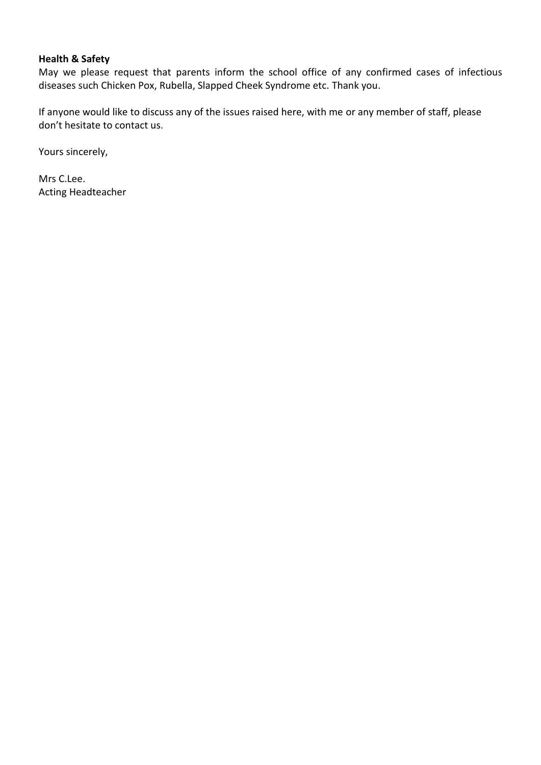## **Health & Safety**

May we please request that parents inform the school office of any confirmed cases of infectious diseases such Chicken Pox, Rubella, Slapped Cheek Syndrome etc. Thank you.

If anyone would like to discuss any of the issues raised here, with me or any member of staff, please don't hesitate to contact us.

Yours sincerely,

Mrs C.Lee. Acting Headteacher